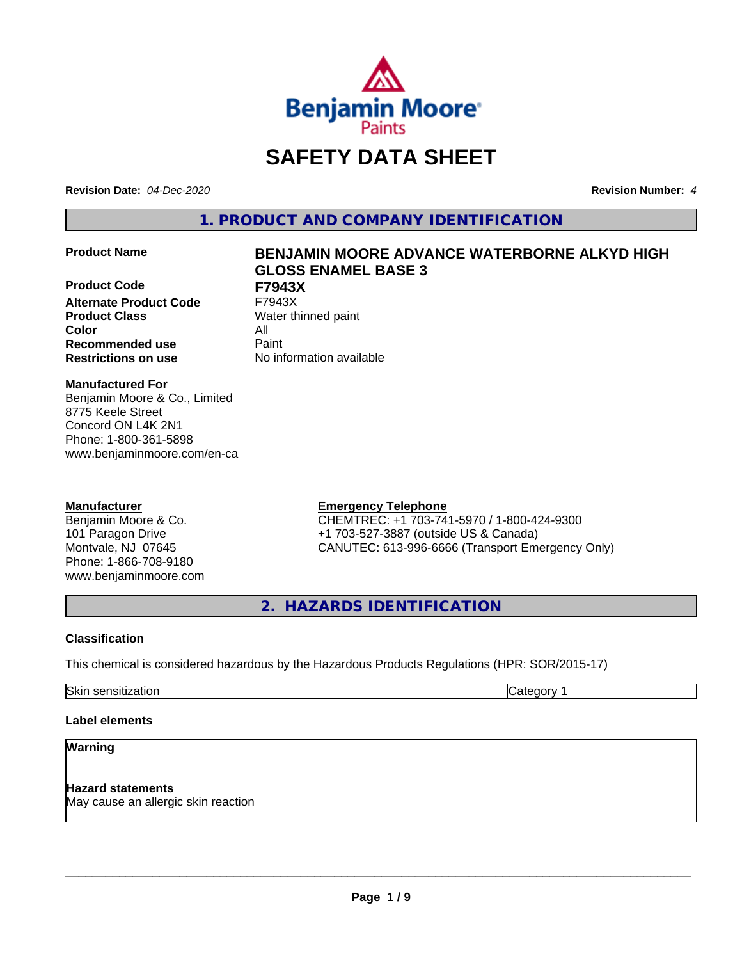

# **SAFETY DATA SHEET**

**Revision Date:** *04-Dec-2020* **Revision Number:** *4*

**1. PRODUCT AND COMPANY IDENTIFICATION**

**Product Code F7943X Alternate Product Code Product Class** Water thinned paint **Color** All **Recommended use** Paint **Restrictions on use** No information available

# **Product Name BENJAMIN MOORE ADVANCE WATERBORNE ALKYD HIGH GLOSS ENAMEL BASE 3**

# **Manufactured For**

Benjamin Moore & Co., Limited 8775 Keele Street Concord ON L4K 2N1 Phone: 1-800-361-5898 www.benjaminmoore.com/en-ca

# **Manufacturer**

Benjamin Moore & Co. 101 Paragon Drive Montvale, NJ 07645 Phone: 1-866-708-9180 www.benjaminmoore.com

# **Emergency Telephone**

CHEMTREC: +1 703-741-5970 / 1-800-424-9300 +1 703-527-3887 (outside US & Canada) CANUTEC: 613-996-6666 (Transport Emergency Only)

**2. HAZARDS IDENTIFICATION**

# **Classification**

This chemical is considered hazardous by the Hazardous Products Regulations (HPR: SOR/2015-17)

Skin sensitization **Category 1** and Category 1

# **Label elements**

# **Warning**

**Hazard statements** May cause an allergic skin reaction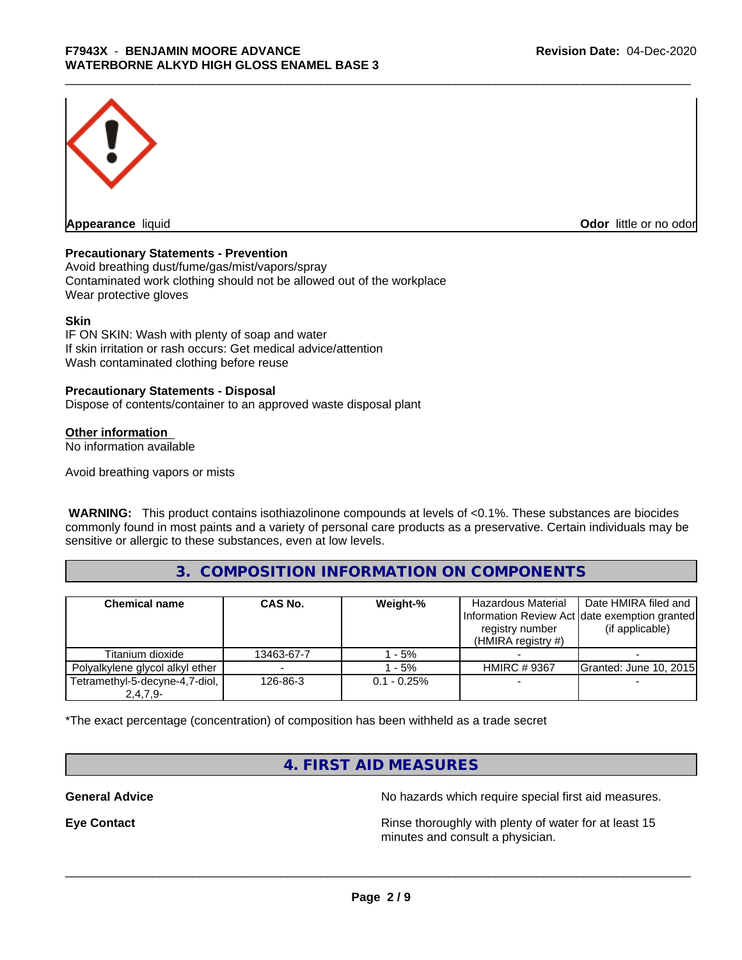

**Appearance** liquid **CODO** *Appearance liquid* **Odor** *CODO CODO* **<b>***CODO CODO CODO CODO CODO* 

# **Precautionary Statements - Prevention**

Avoid breathing dust/fume/gas/mist/vapors/spray Contaminated work clothing should not be allowed out of the workplace Wear protective gloves

#### **Skin**

IF ON SKIN: Wash with plenty of soap and water If skin irritation or rash occurs: Get medical advice/attention Wash contaminated clothing before reuse

#### **Precautionary Statements - Disposal**

Dispose of contents/container to an approved waste disposal plant

#### **Other information**

No information available

Avoid breathing vapors or mists

 **WARNING:** This product contains isothiazolinone compounds at levels of <0.1%. These substances are biocides commonly found in most paints and a variety of personal care products as a preservative. Certain individuals may be sensitive or allergic to these substances, even at low levels.

# **3. COMPOSITION INFORMATION ON COMPONENTS**

| <b>Chemical name</b>            | CAS No.    | Weight-%       | Hazardous Material<br>registry number<br>(HMIRA registry $#$ ) | Date HMIRA filed and<br>Information Review Act date exemption granted<br>(if applicable) |
|---------------------------------|------------|----------------|----------------------------------------------------------------|------------------------------------------------------------------------------------------|
| Titanium dioxide                | 13463-67-7 | - 5%           |                                                                |                                                                                          |
| Polyalkylene glycol alkyl ether |            | - 5%           | <b>HMIRC # 9367</b>                                            | <b>Granted: June 10, 2015</b>                                                            |
| Tetramethyl-5-decyne-4,7-diol,  | 126-86-3   | $0.1 - 0.25\%$ |                                                                |                                                                                          |
| $2,4,7,9-$                      |            |                |                                                                |                                                                                          |

\*The exact percentage (concentration) of composition has been withheld as a trade secret

# **4. FIRST AID MEASURES**

**General Advice** No hazards which require special first aid measures.

**Eye Contact Exercise 2.1 All 2.5 All 2.5 All 2.6 All 2.6 All 2.6 All 2.6 All 2.6 All 2.6 All 2.6 All 2.6 All 2.6 All 2.6 All 2.6 All 2.6 All 2.6 All 2.6 All 2.6 All 2.6 All 2.6 All 2.6 All 2.6 All 2.6 All 2.6 All 2.6 Al** minutes and consult a physician.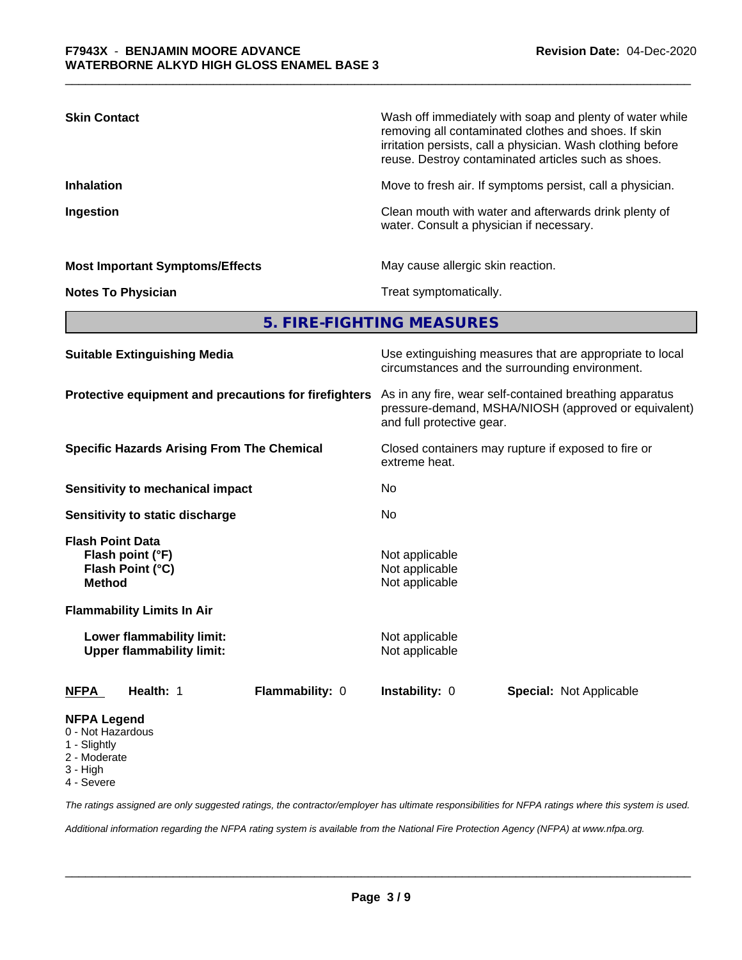| <b>Skin Contact</b>                                                              | Wash off immediately with soap and plenty of water while<br>removing all contaminated clothes and shoes. If skin<br>irritation persists, call a physician. Wash clothing before<br>reuse. Destroy contaminated articles such as shoes.<br>Move to fresh air. If symptoms persist, call a physician. |  |  |  |
|----------------------------------------------------------------------------------|-----------------------------------------------------------------------------------------------------------------------------------------------------------------------------------------------------------------------------------------------------------------------------------------------------|--|--|--|
| <b>Inhalation</b>                                                                |                                                                                                                                                                                                                                                                                                     |  |  |  |
| Ingestion                                                                        | Clean mouth with water and afterwards drink plenty of<br>water. Consult a physician if necessary.                                                                                                                                                                                                   |  |  |  |
| <b>Most Important Symptoms/Effects</b>                                           | May cause allergic skin reaction.                                                                                                                                                                                                                                                                   |  |  |  |
| <b>Notes To Physician</b>                                                        | Treat symptomatically.                                                                                                                                                                                                                                                                              |  |  |  |
|                                                                                  | 5. FIRE-FIGHTING MEASURES                                                                                                                                                                                                                                                                           |  |  |  |
| <b>Suitable Extinguishing Media</b>                                              | Use extinguishing measures that are appropriate to local<br>circumstances and the surrounding environment.                                                                                                                                                                                          |  |  |  |
| Protective equipment and precautions for firefighters                            | As in any fire, wear self-contained breathing apparatus<br>pressure-demand, MSHA/NIOSH (approved or equivalent)<br>and full protective gear.                                                                                                                                                        |  |  |  |
| <b>Specific Hazards Arising From The Chemical</b>                                | Closed containers may rupture if exposed to fire or<br>extreme heat.                                                                                                                                                                                                                                |  |  |  |
| <b>Sensitivity to mechanical impact</b>                                          | No                                                                                                                                                                                                                                                                                                  |  |  |  |
| Sensitivity to static discharge                                                  | No                                                                                                                                                                                                                                                                                                  |  |  |  |
| <b>Flash Point Data</b><br>Flash point (°F)<br>Flash Point (°C)<br><b>Method</b> | Not applicable<br>Not applicable<br>Not applicable                                                                                                                                                                                                                                                  |  |  |  |
| <b>Flammability Limits In Air</b>                                                |                                                                                                                                                                                                                                                                                                     |  |  |  |

**Lower flammability limit:** Not applicable **Upper flammability limit:** Not applicable

**NFPA Health:** 1 **Flammability:** 0 **Instability:** 0 **Special:** Not Applicable

#### **NFPA Legend**

- 0 Not Hazardous
- 1 Slightly
- 2 Moderate
- 3 High
- 4 Severe

*The ratings assigned are only suggested ratings, the contractor/employer has ultimate responsibilities for NFPA ratings where this system is used.*

*Additional information regarding the NFPA rating system is available from the National Fire Protection Agency (NFPA) at www.nfpa.org.*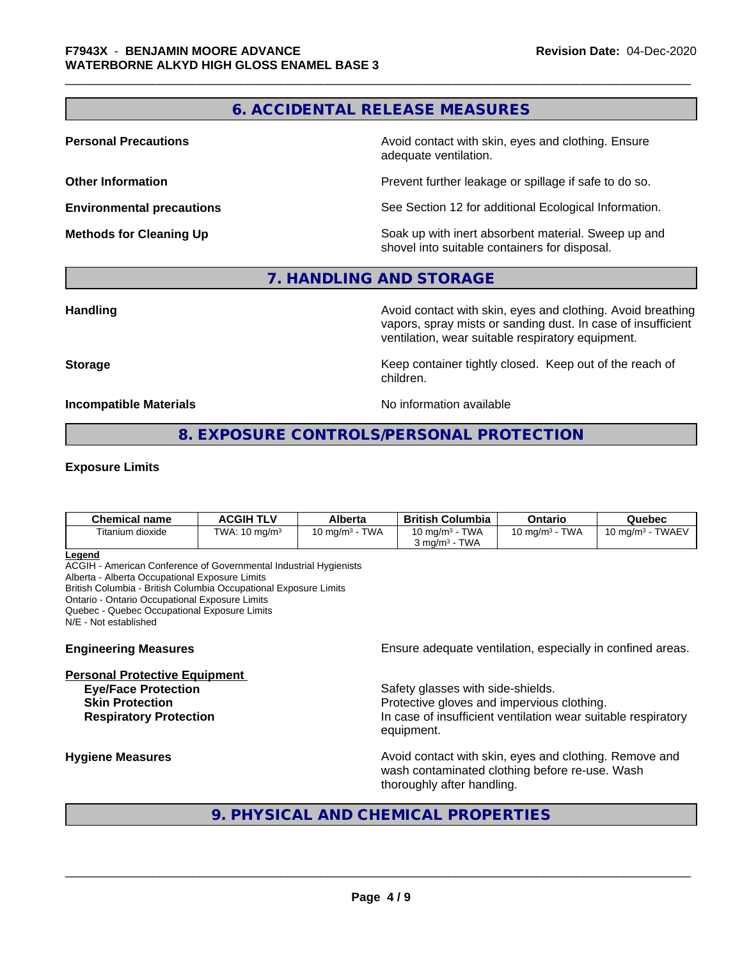# **6. ACCIDENTAL RELEASE MEASURES**

**Personal Precautions Avoid contact with skin, eyes and clothing. Ensure** Avoid contact with skin, eyes and clothing. Ensure adequate ventilation.

**Other Information Determines According to the Prevent further leakage or spillage if safe to do so.** 

**Environmental precautions** See Section 12 for additional Ecological Information.

**Methods for Cleaning Up Example 20 Soak** up with inert absorbent material. Sweep up and shovel into suitable containers for disposal.

# **7. HANDLING AND STORAGE**

**Handling Handling Avoid contact with skin, eyes and clothing. Avoid breathing** vapors, spray mists or sanding dust. In case of insufficient ventilation, wear suitable respiratory equipment.

**Storage Keep container tightly closed. Keep out of the reach of Keep** container tightly closed. Keep out of the reach of children.

**Incompatible Materials Incompatible Materials No information available** 

# **8. EXPOSURE CONTROLS/PERSONAL PROTECTION**

#### **Exposure Limits**

| <b>Chemical name</b> | ACGIH TLV       | <b>Alberta</b>            | <b>British Columbia</b>                                 | Ontario                   | Quebec                          |
|----------------------|-----------------|---------------------------|---------------------------------------------------------|---------------------------|---------------------------------|
| Titanium dioxide     | TWA: 10 $ma/m3$ | <b>TWA</b><br>10 mg/m $3$ | TWA<br>10 mg/m $3$<br><b>TWA</b><br>3 mg/m <sup>3</sup> | <b>TWA</b><br>10 mg/m $3$ | - TWAEV<br>10 mg/m $^3$ $\cdot$ |

#### **Legend**

ACGIH - American Conference of Governmental Industrial Hygienists Alberta - Alberta Occupational Exposure Limits British Columbia - British Columbia Occupational Exposure Limits Ontario - Ontario Occupational Exposure Limits Quebec - Quebec Occupational Exposure Limits N/E - Not established

# **Personal Protective Equipment**

**Engineering Measures Ensure** Ensure adequate ventilation, especially in confined areas.

**Eye/Face Protection** Safety glasses with side-shields. **Skin Protection Protection Protective gloves and impervious clothing. Respiratory Protection In case of insufficient ventilation wear suitable respiratory** equipment.

**Hygiene Measures Avoid contact with skin, eyes and clothing. Remove and Avoid contact with skin, eyes and clothing. Remove and Avoid contact with skin, eyes and clothing. Remove and** wash contaminated clothing before re-use. Wash thoroughly after handling.

# **9. PHYSICAL AND CHEMICAL PROPERTIES**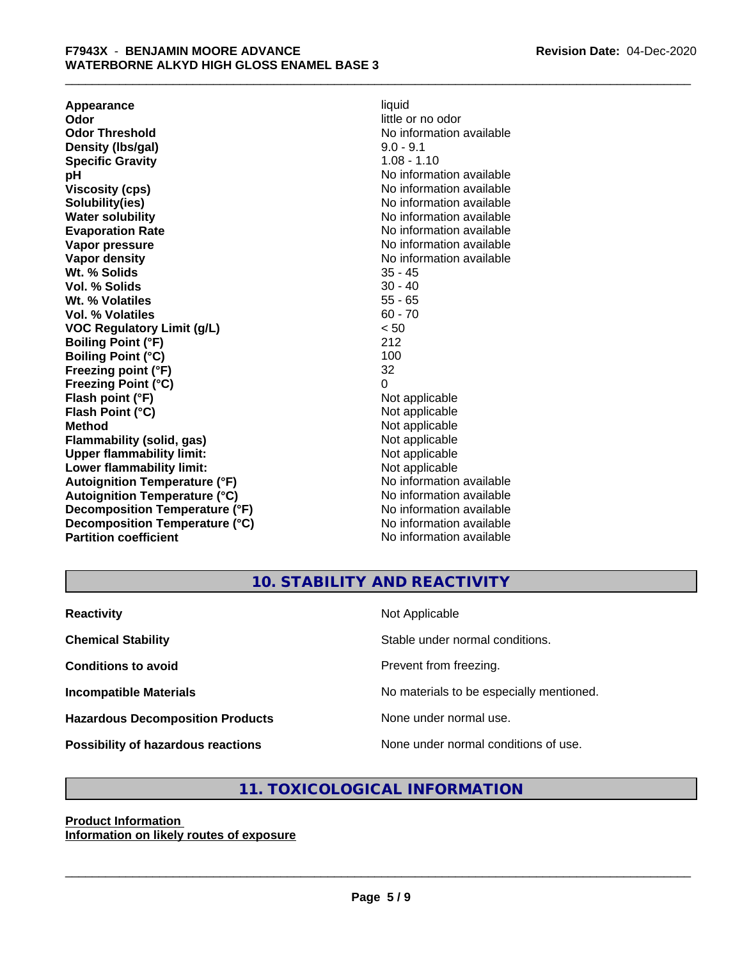**Appearance** liquid **and a liquid contract of the contract of the contract of the contract of the contract of the contract of the contract of the contract of the contract of the contract of the contract of the contract of Odor**<br> **Odor Threshold**<br> **Odor Threshold**<br> **Odor Threshold**<br> **Odor Threshold Density (Ibs/gal)** 9.0 - 9.1<br> **Specific Gravity** 1.08 - 1.10 **Specific Gravity pH pH**  $\blacksquare$ **Viscosity (cps)** No information available **Solubility(ies)** No information available in the solution of the solution of the solution available in the solution of the solution of the solution of the solution of the solution of the solution of the solution of the so **Water solubility** No information available **Evaporation Rate No information available No information available Vapor pressure** No information available **Vapor density No information available No** information available **Wt. % Solids** 35 - 45 **Vol. % Solids** 30 - 40<br> **Wt. % Volatiles** 35 - 65 Wt. % Volatiles **Vol. % Volatiles** 60 - 70 **VOC Regulatory Limit (g/L)** < 50 **Boiling Point (°F)** 212 **Boiling Point (°C)** 100<br> **Preezing point (°F)** 32 **Freezing point (°F) Freezing Point (°C)** 0 **Flash point (°F)** Not applicable **Flash Point (°C)** Not applicable **Method** Not applicable<br> **Flammability (solid, gas)** Not applicable Not applicable **Flammability (solid, gas)**<br> **Upper flammability limit:**<br>
Upper flammability limit:<br>  $\begin{array}{ccc}\n\bullet & \bullet & \bullet \\
\bullet & \bullet & \bullet\n\end{array}$ **Upper flammability limit:**<br> **Lower flammability limit:**<br>
Not applicable<br>
Not applicable **Lower flammability limit:**<br> **Autoignition Temperature (°F)** Not applicable Not applicable not a Not applicable **Autoignition Temperature (°F) Autoignition Temperature (°C)** No information available **Decomposition Temperature (°F)** No information available **Decomposition Temperature (°C)** No information available **Partition coefficient** No information available

**No information available** 

# **10. STABILITY AND REACTIVITY**

| <b>Reactivity</b>                       | Not Applicable                           |
|-----------------------------------------|------------------------------------------|
| <b>Chemical Stability</b>               | Stable under normal conditions.          |
| <b>Conditions to avoid</b>              | Prevent from freezing.                   |
| <b>Incompatible Materials</b>           | No materials to be especially mentioned. |
| <b>Hazardous Decomposition Products</b> | None under normal use.                   |
| Possibility of hazardous reactions      | None under normal conditions of use.     |

# **11. TOXICOLOGICAL INFORMATION**

#### **Product Information Information on likely routes of exposure**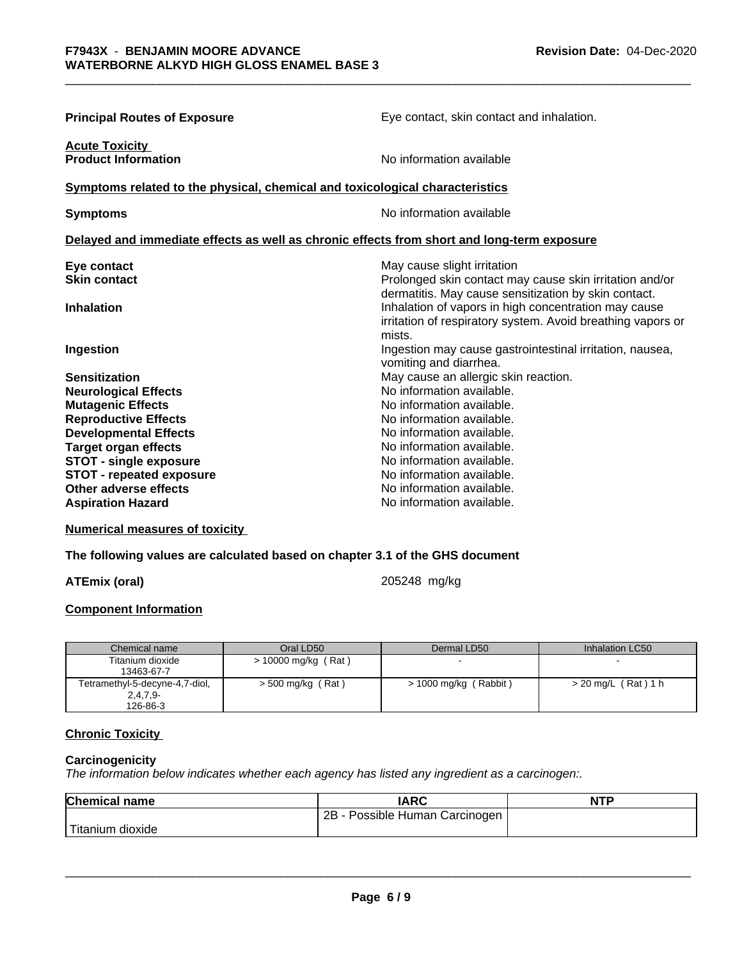| <b>Principal Routes of Exposure</b>                                                        | Eye contact, skin contact and inhalation.                                                                                                                                             |  |  |
|--------------------------------------------------------------------------------------------|---------------------------------------------------------------------------------------------------------------------------------------------------------------------------------------|--|--|
| <b>Acute Toxicity</b><br><b>Product Information</b>                                        | No information available                                                                                                                                                              |  |  |
| Symptoms related to the physical, chemical and toxicological characteristics               |                                                                                                                                                                                       |  |  |
| <b>Symptoms</b>                                                                            | No information available                                                                                                                                                              |  |  |
| Delayed and immediate effects as well as chronic effects from short and long-term exposure |                                                                                                                                                                                       |  |  |
| Eye contact<br><b>Skin contact</b>                                                         | May cause slight irritation<br>Prolonged skin contact may cause skin irritation and/or                                                                                                |  |  |
| <b>Inhalation</b>                                                                          | dermatitis. May cause sensitization by skin contact.<br>Inhalation of vapors in high concentration may cause<br>irritation of respiratory system. Avoid breathing vapors or<br>mists. |  |  |
| Ingestion                                                                                  | Ingestion may cause gastrointestinal irritation, nausea,<br>vomiting and diarrhea.                                                                                                    |  |  |
| <b>Sensitization</b>                                                                       | May cause an allergic skin reaction.                                                                                                                                                  |  |  |
| <b>Neurological Effects</b>                                                                | No information available.                                                                                                                                                             |  |  |
| <b>Mutagenic Effects</b>                                                                   | No information available.                                                                                                                                                             |  |  |
| <b>Reproductive Effects</b>                                                                | No information available.                                                                                                                                                             |  |  |
| <b>Developmental Effects</b>                                                               | No information available.                                                                                                                                                             |  |  |
| <b>Target organ effects</b>                                                                | No information available.                                                                                                                                                             |  |  |
| <b>STOT - single exposure</b>                                                              | No information available.                                                                                                                                                             |  |  |
| <b>STOT - repeated exposure</b>                                                            | No information available.                                                                                                                                                             |  |  |
| Other adverse effects                                                                      | No information available.                                                                                                                                                             |  |  |
| <b>Aspiration Hazard</b>                                                                   | No information available.                                                                                                                                                             |  |  |

# **Numerical measures of toxicity**

#### **The following values are calculated based on chapter 3.1 of the GHS document**

# **ATEmix (oral)** 205248 mg/kg

# **Component Information**

| Chemical name                  | Oral LD50             | Dermal LD50           | Inhalation LC50     |
|--------------------------------|-----------------------|-----------------------|---------------------|
| Titanium dioxide               | $> 10000$ mg/kg (Rat) |                       |                     |
| 13463-67-7                     |                       |                       |                     |
| Tetramethyl-5-decyne-4,7-diol, | $>$ 500 mg/kg (Rat)   | > 1000 mg/kg (Rabbit) | > 20 mg/L (Rat) 1 h |
| $2,4,7,9-$                     |                       |                       |                     |
| 126-86-3                       |                       |                       |                     |

# **Chronic Toxicity**

# **Carcinogenicity**

*The information below indicateswhether each agency has listed any ingredient as a carcinogen:.*

| <b>Chemical name</b> | <b>IARC</b>                     | <b>NTP</b> |
|----------------------|---------------------------------|------------|
|                      | 2B<br>Possible Human Carcinogen |            |
| 'Titanium<br>dioxide |                                 |            |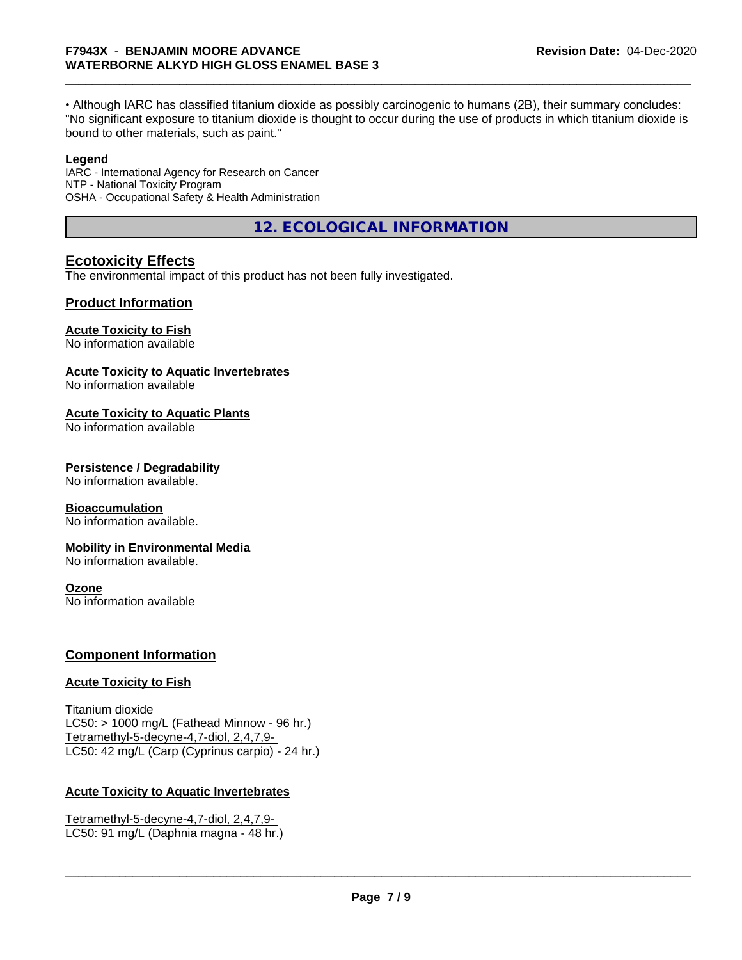• Although IARC has classified titanium dioxide as possibly carcinogenic to humans (2B), their summary concludes: "No significant exposure to titanium dioxide is thought to occur during the use of products in which titanium dioxide is bound to other materials, such as paint."

# **Legend**

IARC - International Agency for Research on Cancer NTP - National Toxicity Program OSHA - Occupational Safety & Health Administration

**12. ECOLOGICAL INFORMATION**

# **Ecotoxicity Effects**

The environmental impact of this product has not been fully investigated.

# **Product Information**

# **Acute Toxicity to Fish**

No information available

# **Acute Toxicity to Aquatic Invertebrates**

No information available

# **Acute Toxicity to Aquatic Plants**

No information available

# **Persistence / Degradability**

No information available.

# **Bioaccumulation**

No information available.

# **Mobility in Environmental Media**

No information available.

# **Ozone**

No information available

# **Component Information**

# **Acute Toxicity to Fish**

Titanium dioxide  $LC50:$  > 1000 mg/L (Fathead Minnow - 96 hr.) Tetramethyl-5-decyne-4,7-diol, 2,4,7,9- LC50: 42 mg/L (Carp (Cyprinus carpio) - 24 hr.)

# **Acute Toxicity to Aquatic Invertebrates**

Tetramethyl-5-decyne-4,7-diol, 2,4,7,9- LC50: 91 mg/L (Daphnia magna - 48 hr.)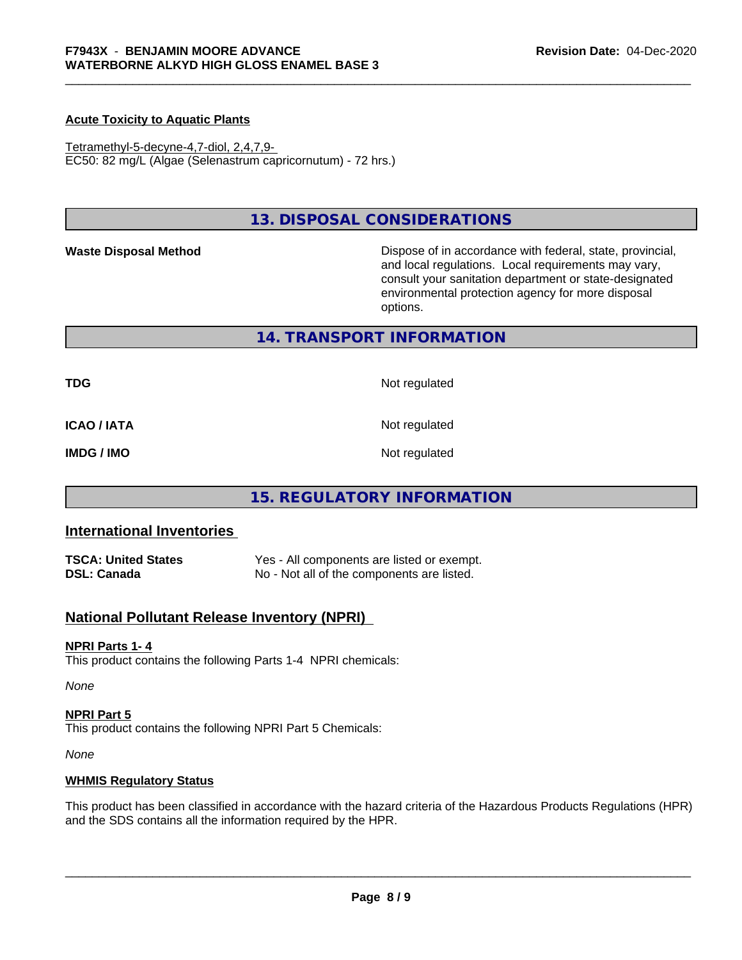# **Acute Toxicity to Aquatic Plants**

Tetramethyl-5-decyne-4,7-diol, 2,4,7,9- EC50: 82 mg/L (Algae (Selenastrum capricornutum) - 72 hrs.)

# **13. DISPOSAL CONSIDERATIONS**

Waste Disposal Method **Dispose of in accordance with federal, state, provincial,** and local regulations. Local requirements may vary, consult your sanitation department or state-designated environmental protection agency for more disposal options.

# **14. TRANSPORT INFORMATION**

**TDG** Not regulated

**ICAO / IATA** Not regulated

**IMDG / IMO** Not regulated

# **15. REGULATORY INFORMATION**

# **International Inventories**

**TSCA: United States** Yes - All components are listed or exempt. **DSL: Canada** No - Not all of the components are listed.

# **National Pollutant Release Inventory (NPRI)**

#### **NPRI Parts 1- 4**

This product contains the following Parts 1-4 NPRI chemicals:

*None*

#### **NPRI Part 5**

This product contains the following NPRI Part 5 Chemicals:

*None*

#### **WHMIS Regulatory Status**

This product has been classified in accordance with the hazard criteria of the Hazardous Products Regulations (HPR) and the SDS contains all the information required by the HPR.